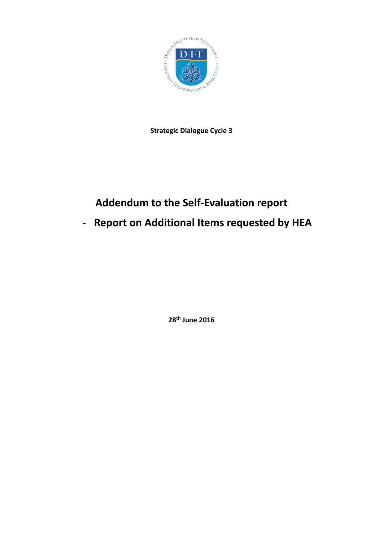

**Strategic Dialogue Cycle 3**

## **Addendum to the Self-Evaluation report**

# - **Report on Additional Items requested by HEA**

**28th June 2016**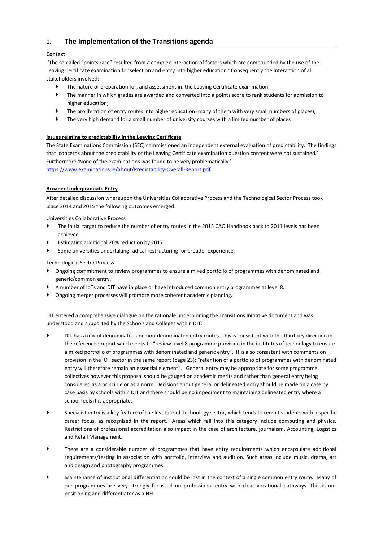## **1. The Implementation of the Transitions agenda**

## **Context**

'The so-called "points race" resulted from a complex interaction of factors which are compounded by the use of the Leaving Certificate examination for selection and entry into higher education.' Consequently the interaction of all stakeholders involved;

- The nature of preparation for, and assessment in, the Leaving Certificate examination;
- The manner in which grades are awarded and converted into a points score to rank students for admission to higher education;
- The proliferation of entry routes into higher education (many of them with very small numbers of places);
- The very high demand for a small number of university courses with a limited number of places

## **Issues relating to predictability in the Leaving Certificate**

The State Examinations Commission (SEC) commissioned an independent external evaluation of predictability. The findings that 'concerns about the predictability of the Leaving Certificate examination question content were not sustained.' Furthermore 'None of the examinations was found to be very problematically.' <https://www.examinations.ie/about/Predictability-Overall-Report.pdf>

## **Broader Undergraduate Entry**

After detailed discussion whereupon the Universities Collaborative Process and the Technological Sector Process took place 2014 and 2015 the following outcomes emerged.

Universities Collaborative Process

- The initial target to reduce the number of entry routes in the 2015 CAO Handbook back to 2011 levels has been achieved.
- Estimating additional 20% reduction by 2017
- Some universities undertaking radical restructuring for broader experience.

Technological Sector Process

- Ongoing commitment to review programmes to ensure a mixed portfolio of programmes with denominated and generic/common entry.
- A number of IoTs and DIT have in place or have introduced common entry programmes at level 8.
- Ongoing merger processes will promote more coherent academic planning.

DIT entered a comprehensive dialogue on the rationale underpinning the Transitions Initiative document and was understood and supported by the Schools and Colleges within DIT.

- DIT has a mix of denominated and non-denominated entry routes. This is consistent with the third key direction in the referenced report which seeks to "review level 8 programme provision in the institutes of technology to ensure a mixed portfolio of programmes with denominated and generic entry". It is also consistent with comments on provision in the IOT sector in the same report (page 23): "retention of a portfolio of programmes with denominated entry will therefore remain an essential element". General entry may be appropriate for some programme collectives however this proposal should be gauged on academic merits and rather than general entry being considered as a principle or as a norm. Decisions about general or delineated entry should be made on a case by case basis by schools within DIT and there should be no impediment to maintaining delineated entry where a school feels it is appropriate.
- Specialist entry is a key feature of the Institute of Technology sector, which tends to recruit students with a specific career focus, as recognised in the report. Areas which fall into this category include computing and physics, Restrictions of professional accreditation also impact in the case of architecture, journalism, Accounting, Logistics and Retail Management.
- There are a considerable number of programmes that have entry requirements which encapsulate additional requirements/testing in association with portfolio, interview and audition. Such areas include music, drama, art and design and photography programmes.
- Maintenance of institutional differentiation could be lost in the context of a single common entry route. Many of our programmes are very strongly focussed on professional entry with clear vocational pathways. This is our positioning and differentiator as a HEI.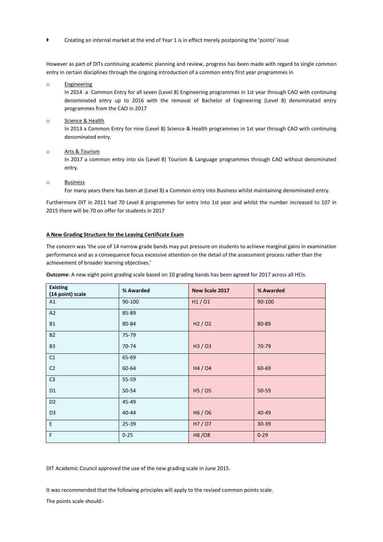Creating an internal market at the end of Year 1 is in effect merely postponing the 'points' issue

However as part of DITs continuing academic planning and review, progress has been made with regard to single common entry in certain disciplines through the ongoing introduction of a common entry first year programmes in

o Engineering

In 2014 a Common Entry for all seven (Level 8) Engineering programmes in 1st year through CAO with continuing denominated entry up to 2016 with the removal of Bachelor of Engineering (Level 8) denominated entry programmes from the CAO in 2017

#### o Science & Health

In 2013 a Common Entry for nine (Level 8) Science & Health programmes in 1st year through CAO with continuing denominated entry.

#### o Arts & Tourism

In 2017 a common entry into six (Level 8) Tourism & Language programmes through CAO without denominated entry.

#### o Business

For many years there has been at (Level 8) a Common entry into Business whilst maintaining denominated entry.

Furthermore DIT in 2011 had 70 Level 8 programmes for entry into 1st year and whilst the number increased to 107 in 2015 there will be 70 on offer for students in 2017

#### **A New Grading Structure for the Leaving Certificate Exam**

The concern was 'the use of 14 narrow grade bands may put pressure on students to achieve marginal gains in examination performance and as a consequence focus excessive attention on the detail of the assessment process rather than the achievement of broader learning objectives.'

**Outcome**: A new eight point grading scale based on 10 grading bands has been agreed for 2017 across all HEIs.

| <b>Existing</b><br>(14 point) scale | % Awarded | New Scale 2017 | % Awarded |
|-------------------------------------|-----------|----------------|-----------|
| A1                                  | 90-100    | H1/01          | 90-100    |
| A2                                  | 85-89     |                |           |
| <b>B1</b>                           | 80-84     | H2/02          | 80-89     |
| <b>B2</b>                           | 75-79     |                |           |
| <b>B3</b>                           | 70-74     | H3/03          | 70-79     |
| C1                                  | 65-69     |                |           |
| C <sub>2</sub>                      | 60-64     | H4/04          | 60-69     |
| C <sub>3</sub>                      | 55-59     |                |           |
| D <sub>1</sub>                      | 50-54     | H5 / 05        | 50-59     |
| D <sub>2</sub>                      | 45-49     |                |           |
| D <sub>3</sub>                      | 40-44     | H6/06          | 40-49     |
| E                                   | 25-39     | H7/07          | 30-39     |
| F                                   | $0 - 25$  | H8/08          | $0 - 29$  |

DIT Academic Council approved the use of the new grading scale in June 2015.

It was recommended that the following principles will apply to the revised common points scale. The points scale should:-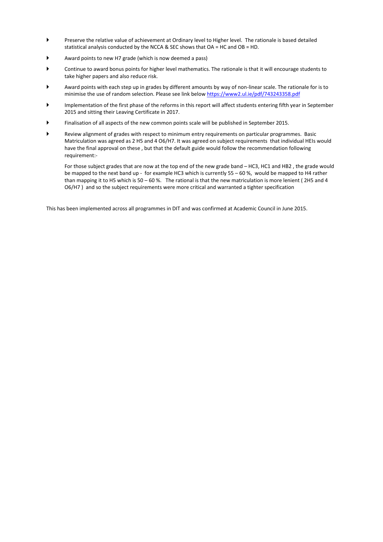- Preserve the relative value of achievement at Ordinary level to Higher level. The rationale is based detailed statistical analysis conducted by the NCCA & SEC shows that OA = HC and OB = HD.
- Award points to new H7 grade (which is now deemed a pass)
- Continue to award bonus points for higher level mathematics. The rationale is that it will encourage students to take higher papers and also reduce risk.
- Award points with each step up in grades by different amounts by way of non-linear scale. The rationale for is to minimise the use of random selection. Please see link below<https://www2.ul.ie/pdf/743243358.pdf>
- Implementation of the first phase of the reforms in this report will affect students entering fifth year in September 2015 and sitting their Leaving Certificate in 2017.
- Finalisation of all aspects of the new common points scale will be published in September 2015.
- Review alignment of grades with respect to minimum entry requirements on particular programmes. Basic Matriculation was agreed as 2 H5 and 4 O6/H7. It was agreed on subject requirements that individual HEIs would have the final approval on these , but that the default guide would follow the recommendation following requirement:-

For those subject grades that are now at the top end of the new grade band – HC3, HC1 and HB2 , the grade would be mapped to the next band up - for example HC3 which is currently 55 – 60 %, would be mapped to H4 rather than mapping it to H5 which is 50 – 60 %. The rational is that the new matriculation is more lenient (2H5 and 4 O6/H7 ) and so the subject requirements were more critical and warranted a tighter specification

This has been implemented across all programmes in DIT and was confirmed at Academic Council in June 2015.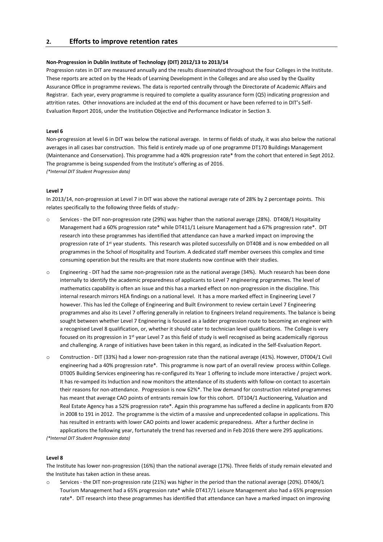## **2. Efforts to improve retention rates**

#### **Non-Progression in Dublin Institute of Technology (DIT) 2012/13 to 2013/14**

Progression rates in DIT are measured annually and the results disseminated throughout the four Colleges in the Institute. These reports are acted on by the Heads of Learning Development in the Colleges and are also used by the Quality Assurance Office in programme reviews. The data is reported centrally through the Directorate of Academic Affairs and Registrar. Each year, every programme is required to complete a quality assurance form (Q5) indicating progression and attrition rates. Other innovations are included at the end of this document or have been referred to in DIT's Self-Evaluation Report 2016, under the Institution Objective and Performance Indicator in Section 3.

#### **Level 6**

Non-progression at level 6 in DIT was below the national average. In terms of fields of study, it was also below the national averages in all cases bar construction. This field is entirely made up of one programme DT170 Buildings Management (Maintenance and Conservation). This programme had a 40% progression rate\* from the cohort that entered in Sept 2012. The programme is being suspended from the Institute's offering as of 2016. *(\*Internal DIT Student Progression data)*

#### **Level 7**

In 2013/14, non-progression at Level 7 in DIT was above the national average rate of 28% by 2 percentage points. This relates specifically to the following three fields of study:-

- o Services the DIT non-progression rate (29%) was higher than the national average (28%). DT408/1 Hospitality Management had a 60% progression rate\* while DT411/1 Leisure Management had a 67% progression rate\*. DIT research into these programmes has identified that attendance can have a marked impact on improving the progression rate of 1<sup>st</sup> year students. This research was piloted successfully on DT408 and is now embedded on all programmes in the School of Hospitality and Tourism. A dedicated staff member oversees this complex and time consuming operation but the results are that more students now continue with their studies.
- o Engineering DIT had the same non-progression rate as the national average (34%). Much research has been done internally to identify the academic preparedness of applicants to Level 7 engineering programmes. The level of mathematics capability is often an issue and this has a marked effect on non-progression in the discipline. This internal research mirrors HEA findings on a national level. It has a more marked effect in Engineering Level 7 however. This has led the College of Engineering and Built Environment to review certain Level 7 Engineering programmes and also its Level 7 offering generally in relation to Engineers Ireland requirements. The balance is being sought between whether Level 7 Engineering is focused as a ladder progression route to becoming an engineer with a recognised Level 8 qualification, or, whether it should cater to technician level qualifications. The College is very focused on its progression in 1<sup>st</sup> year Level 7 as this field of study is well recognised as being academically rigorous and challenging. A range of initiatives have been taken in this regard, as indicated in the Self-Evaluation Report.
- o Construction DIT (33%) had a lower non-progression rate than the national average (41%). However, DT004/1 Civil engineering had a 40% progression rate\*. This programme is now part of an overall review process within College. DT005 Building Services engineering has re-configured its Year 1 offering to include more interactive / project work. It has re-vamped its Induction and now monitors the attendance of its students with follow-on contact to ascertain their reasons for non-attendance. Progression is now 62%\*. The low demand for construction related programmes has meant that average CAO points of entrants remain low for this cohort. DT104/1 Auctioneering, Valuation and Real Estate Agency has a 52% progression rate\*. Again this programme has suffered a decline in applicants from 870 in 2008 to 191 in 2012. The programme is the victim of a massive and unprecedented collapse in applications. This has resulted in entrants with lower CAO points and lower academic preparedness. After a further decline in applications the following year, fortunately the trend has reversed and in Feb 2016 there were 295 applications.

*(\*Internal DIT Student Progression data)*

#### **Level 8**

The Institute has lower non-progression (16%) than the national average (17%). Three fields of study remain elevated and the Institute has taken action in these areas.

Services - the DIT non-progression rate (21%) was higher in the period than the national average (20%). DT406/1 Tourism Management had a 65% progression rate\* while DT417/1 Leisure Management also had a 65% progression rate\*. DIT research into these programmes has identified that attendance can have a marked impact on improving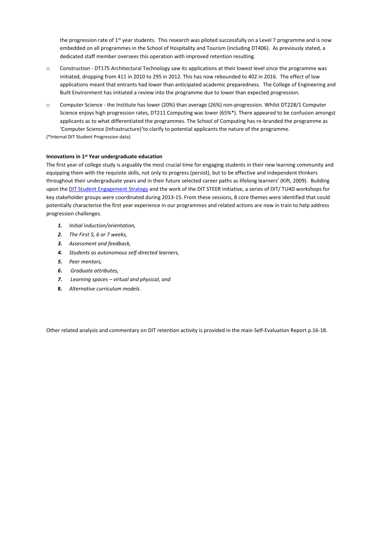the progression rate of 1<sup>st</sup> year students. This research was piloted successfully on a Level 7 programme and is now embedded on all programmes in the School of Hospitality and Tourism (including DT406). As previously stated, a dedicated staff member oversees this operation with improved retention resulting.

- o Construction DT175 Architectural Technology saw its applications at their lowest level since the programme was initiated, dropping from 411 in 2010 to 295 in 2012. This has now rebounded to 402 in 2016. The effect of low applications meant that entrants had lower than anticipated academic preparedness. The College of Engineering and Built Environment has initiated a review into the programme due to lower than expected progression.
- o Computer Science the Institute has lower (20%) than average (26%) non-progression. Whilst DT228/1 Computer Science enjoys high progression rates, DT211 Computing was lower (65%\*). There appeared to be confusion amongst applicants as to what differentiated the programmes. The School of Computing has re-branded the programme as 'Computer Science (Infrastructure)'to clarify to potential applicants the nature of the programme.

(\*Internal DIT Student Progression data)

#### **Innovations in 1st Year undergraduate education**

The first year of college study is arguably the most crucial time for engaging students in their new learning community and equipping them with the requisite skills, not only to progress (persist), but to be effective and independent thinkers throughout their undergraduate years and in their future selected career paths as lifelong learners' (Kift, 2009). Building upon the [DIT Student Engagement Strategy](http://www.dit.ie/lttc/media/ditlttc/images/strategiesandpolicies/DITStrategy%20for%20Student%20Engagement%206Nov12.pdf) and the work of the DIT STEER initiative, a series of DIT/ TU4D workshops for key stakeholder groups were coordinated during 2013-15. From these sessions, 8 core themes were identified that could potentially characterise the first year experience in our programmes and related actions are now in train to help address progression challenges.

- *1. Initial induction/orientation,*
- *2. The First 5, 6 or 7 weeks,*
- *3. Assessment and feedback,*
- *4. Students as autonomous self-directed learners,*
- *5. Peer mentors,*
- *6. Graduate attributes,*
- *7. Learning spaces – virtual and physical, and*
- **8.** *Alternative curriculum models.*

Other related analysis and commentary on DIT retention activity is provided in the main Self-Evaluation Report p.16-18.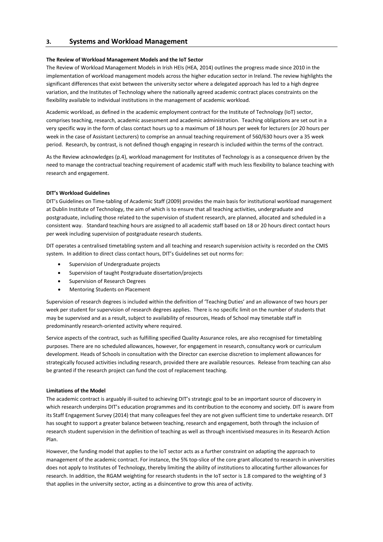## **3. Systems and Workload Management**

#### **The Review of Workload Management Models and the IoT Sector**

The Review of Workload Management Models in Irish HEIs (HEA, 2014) outlines the progress made since 2010 in the implementation of workload management models across the higher education sector in Ireland. The review highlights the significant differences that exist between the university sector where a delegated approach has led to a high degree variation, and the Institutes of Technology where the nationally agreed academic contract places constraints on the flexibility available to individual institutions in the management of academic workload.

Academic workload, as defined in the academic employment contract for the Institute of Technology (IoT) sector, comprises teaching, research, academic assessment and academic administration. Teaching obligations are set out in a very specific way in the form of class contact hours up to a maximum of 18 hours per week for lecturers (or 20 hours per week in the case of Assistant Lecturers) to comprise an annual teaching requirement of 560/630 hours over a 35 week period. Research, by contrast, is not defined though engaging in research is included within the terms of the contract.

As the Review acknowledges (p.4), workload management for Institutes of Technology is as a consequence driven by the need to manage the contractual teaching requirement of academic staff with much less flexibility to balance teaching with research and engagement.

#### **DIT's Workload Guidelines**

DIT's Guidelines on Time-tabling of Academic Staff (2009) provides the main basis for institutional workload management at Dublin Institute of Technology, the aim of which is to ensure that all teaching activities, undergraduate and postgraduate, including those related to the supervision of student research, are planned, allocated and scheduled in a consistent way. Standard teaching hours are assigned to all academic staff based on 18 or 20 hours direct contact hours per week including supervision of postgraduate research students.

DIT operates a centralised timetabling system and all teaching and research supervision activity is recorded on the CMIS system. In addition to direct class contact hours, DIT's Guidelines set out norms for:

- Supervision of Undergraduate projects
- Supervision of taught Postgraduate dissertation/projects
- Supervision of Research Degrees
- Mentoring Students on Placement

Supervision of research degrees is included within the definition of 'Teaching Duties' and an allowance of two hours per week per student for supervision of research degrees applies. There is no specific limit on the number of students that may be supervised and as a result, subject to availability of resources, Heads of School may timetable staff in predominantly research-oriented activity where required.

Service aspects of the contract, such as fulfilling specified Quality Assurance roles, are also recognised for timetabling purposes. There are no scheduled allowances, however, for engagement in research, consultancy work or curriculum development. Heads of Schools in consultation with the Director can exercise discretion to implement allowances for strategically focused activities including research, provided there are available resources. Release from teaching can also be granted if the research project can fund the cost of replacement teaching.

#### **Limitations of the Model**

The academic contract is arguably ill-suited to achieving DIT's strategic goal to be an important source of discovery in which research underpins DIT's education programmes and its contribution to the economy and society. DIT is aware from its Staff Engagement Survey (2014) that many colleagues feel they are not given sufficient time to undertake research. DIT has sought to support a greater balance between teaching, research and engagement, both through the inclusion of research student supervision in the definition of teaching as well as through incentivised measures in its Research Action Plan.

However, the funding model that applies to the IoT sector acts as a further constraint on adapting the approach to management of the academic contract. For instance, the 5% top-slice of the core grant allocated to research in universities does not apply to Institutes of Technology, thereby limiting the ability of institutions to allocating further allowances for research. In addition, the RGAM weighting for research students in the IoT sector is 1.8 compared to the weighting of 3 that applies in the university sector, acting as a disincentive to grow this area of activity.